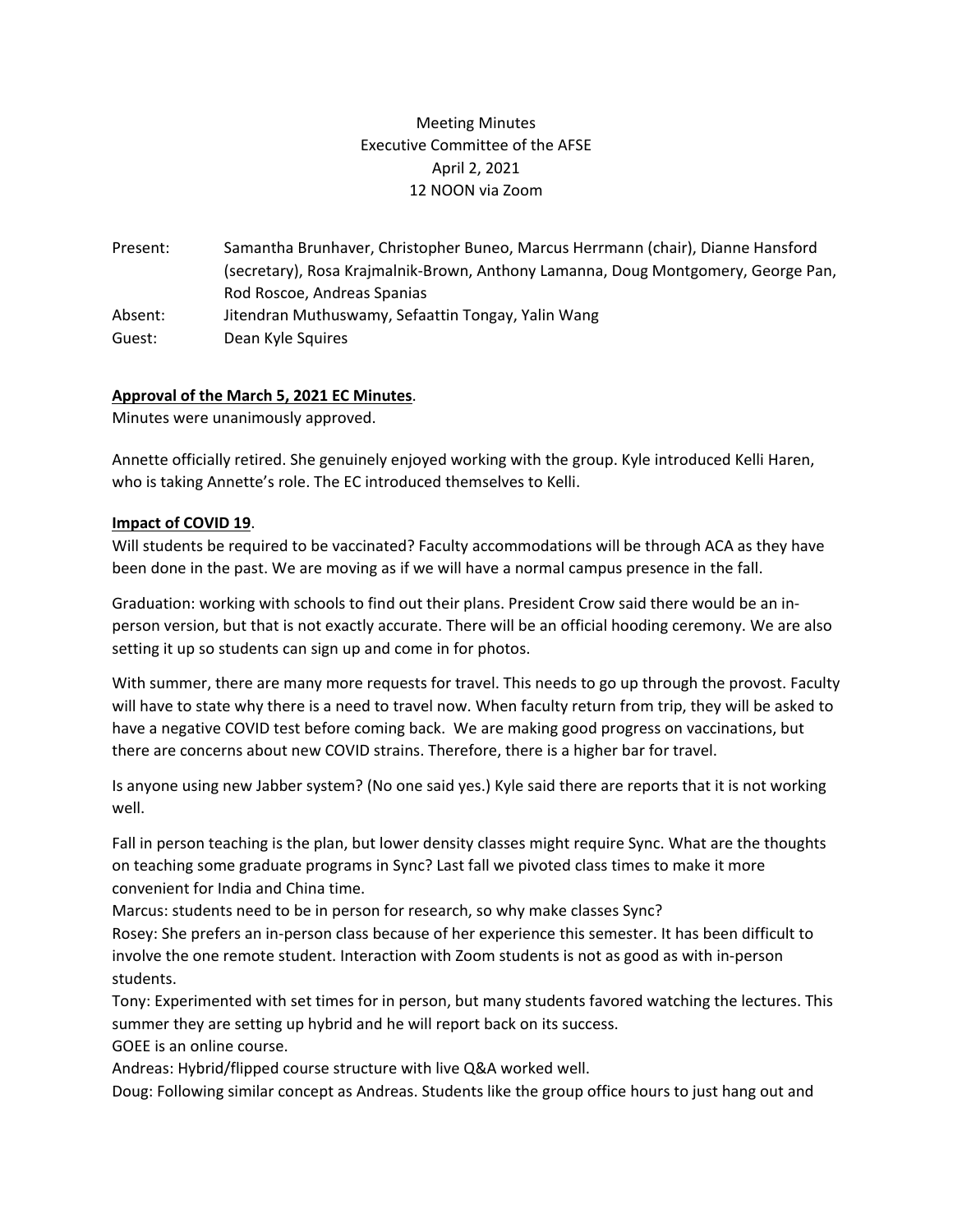# Meeting Minutes Executive Committee of the AFSE April 2, 2021 12 NOON via Zoom

Present: Samantha Brunhaver, Christopher Buneo, Marcus Herrmann (chair), Dianne Hansford (secretary), Rosa Krajmalnik-Brown, Anthony Lamanna, Doug Montgomery, George Pan, Rod Roscoe, Andreas Spanias Absent: Jitendran Muthuswamy, Sefaattin Tongay, Yalin Wang Guest: Dean Kyle Squires

# **Approval of the March 5, 2021 EC Minutes**.

Minutes were unanimously approved.

Annette officially retired. She genuinely enjoyed working with the group. Kyle introduced Kelli Haren, who is taking Annette's role. The EC introduced themselves to Kelli.

### **Impact of COVID 19**.

Will students be required to be vaccinated? Faculty accommodations will be through ACA as they have been done in the past. We are moving as if we will have a normal campus presence in the fall.

Graduation: working with schools to find out their plans. President Crow said there would be an inperson version, but that is not exactly accurate. There will be an official hooding ceremony. We are also setting it up so students can sign up and come in for photos.

With summer, there are many more requests for travel. This needs to go up through the provost. Faculty will have to state why there is a need to travel now. When faculty return from trip, they will be asked to have a negative COVID test before coming back. We are making good progress on vaccinations, but there are concerns about new COVID strains. Therefore, there is a higher bar for travel.

Is anyone using new Jabber system? (No one said yes.) Kyle said there are reports that it is not working well.

Fall in person teaching is the plan, but lower density classes might require Sync. What are the thoughts on teaching some graduate programs in Sync? Last fall we pivoted class times to make it more convenient for India and China time.

Marcus: students need to be in person for research, so why make classes Sync?

Rosey: She prefers an in-person class because of her experience this semester. It has been difficult to involve the one remote student. Interaction with Zoom students is not as good as with in-person students.

Tony: Experimented with set times for in person, but many students favored watching the lectures. This summer they are setting up hybrid and he will report back on its success. GOEE is an online course.

Andreas: Hybrid/flipped course structure with live Q&A worked well.

Doug: Following similar concept as Andreas. Students like the group office hours to just hang out and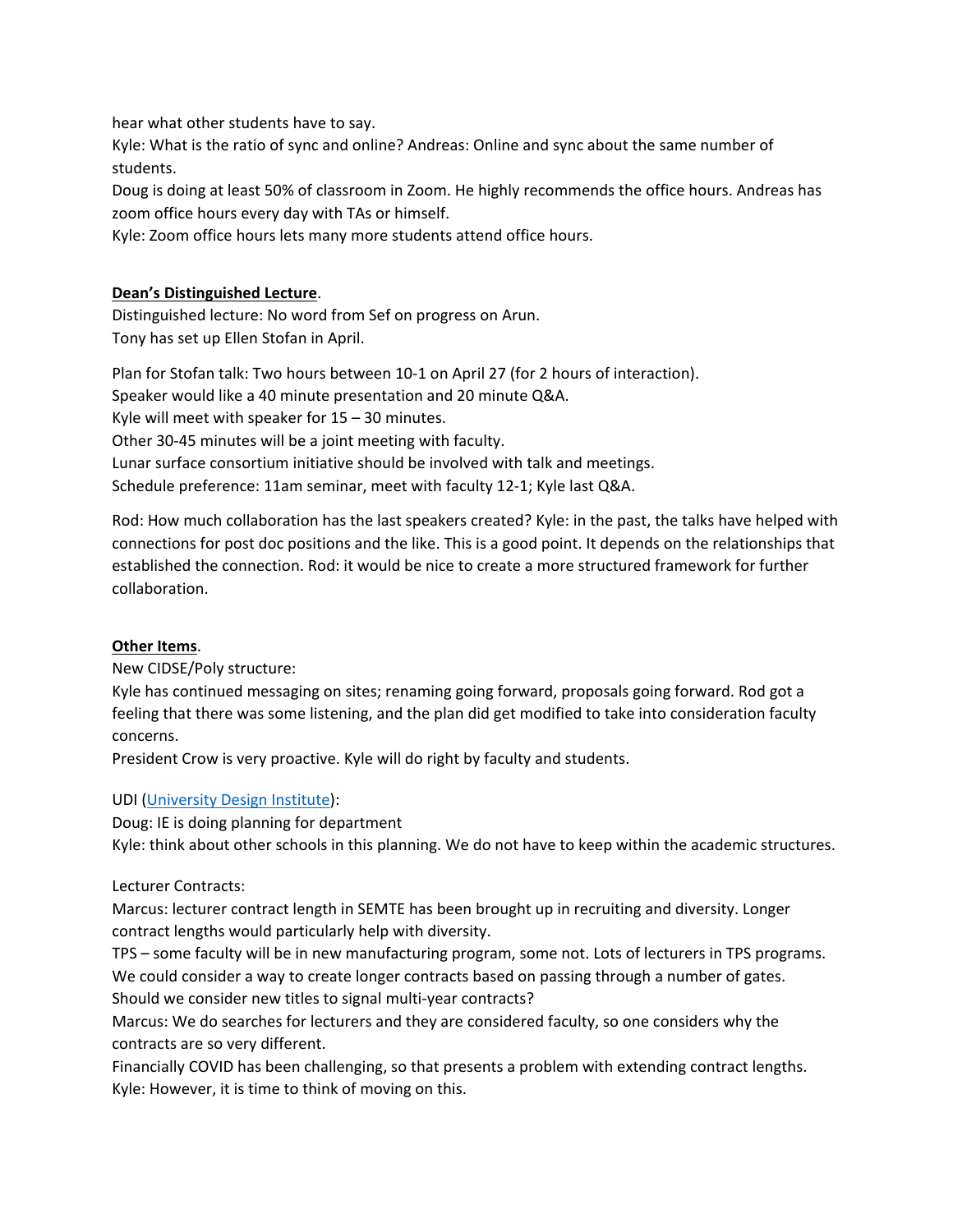hear what other students have to say.

Kyle: What is the ratio of sync and online? Andreas: Online and sync about the same number of students.

Doug is doing at least 50% of classroom in Zoom. He highly recommends the office hours. Andreas has zoom office hours every day with TAs or himself.

Kyle: Zoom office hours lets many more students attend office hours.

### **Dean's Distinguished Lecture**.

Distinguished lecture: No word from Sef on progress on Arun. Tony has set up Ellen Stofan in April.

Plan for Stofan talk: Two hours between 10-1 on April 27 (for 2 hours of interaction). Speaker would like a 40 minute presentation and 20 minute Q&A. Kyle will meet with speaker for 15 – 30 minutes. Other 30-45 minutes will be a joint meeting with faculty. Lunar surface consortium initiative should be involved with talk and meetings. Schedule preference: 11am seminar, meet with faculty 12-1; Kyle last Q&A.

Rod: How much collaboration has the last speakers created? Kyle: in the past, the talks have helped with connections for post doc positions and the like. This is a good point. It depends on the relationships that established the connection. Rod: it would be nice to create a more structured framework for further collaboration.

### **Other Items**.

New CIDSE/Poly structure:

Kyle has continued messaging on sites; renaming going forward, proposals going forward. Rod got a feeling that there was some listening, and the plan did get modified to take into consideration faculty concerns.

President Crow is very proactive. Kyle will do right by faculty and students.

# UDI [\(University Design Institute\)](https://global.asu.edu/university-design-institute):

Doug: IE is doing planning for department

Kyle: think about other schools in this planning. We do not have to keep within the academic structures.

### Lecturer Contracts:

Marcus: lecturer contract length in SEMTE has been brought up in recruiting and diversity. Longer contract lengths would particularly help with diversity.

TPS – some faculty will be in new manufacturing program, some not. Lots of lecturers in TPS programs. We could consider a way to create longer contracts based on passing through a number of gates. Should we consider new titles to signal multi-year contracts?

Marcus: We do searches for lecturers and they are considered faculty, so one considers why the contracts are so very different.

Financially COVID has been challenging, so that presents a problem with extending contract lengths. Kyle: However, it is time to think of moving on this.